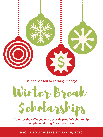### Winter Break \$cholarships





**Tis' the season to earning money!**

**To enter the raffle you must provide proof of scholarship completion during Christmas break.**

PROOF TO ADVISERS BY JAN. 6, 2020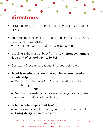- Provided are a few scholarships, of many, to apply for during break.
- Apply to any scholarships provided to be entered into a raffle  $\bullet$ to win one of two prizes.
	- Two winners will be randomly selected to win!  $\bullet$
- Deadline is the first day back from break **Monday, January**  $\bullet$ **6, by end of school day - 2:50 PM**
- Get letter of recommendations, if needed, before break

### **Other scholarships count too!**  $\bullet$

- As long as you applied during break and send me proof  $\bullet$
- **GoingMerry** is a great resource!  $\bullet$

### **Proof is needed to show that you have completed a**  $\bullet$ **scholarship:**

Sending Ms. Brown or Ms. Rife confirmation email for  $\bullet$ scholarship

Sending screenshot of your essays after you've completed  $\bullet$ and submitted the scholarship(s)

### **OR**

\* No letters of rec. or transcripts available during break? Still send proof of essay completion. \*Goal is to complete at least **one** scholarship during break

# **directions**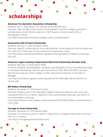### **American Fire Sprinkler Association Scholarship**

Deadline: April 1, 2020 Award: Ten winners receive \$2,000 each. Overview: Open to high school seniors, funds payable to winner's college/university or certified trade school. Winners selection is NOT based on financial need, GPA or demographic criteria.

Link: https://www.afsascholarship.org/high-school-contest/hsstep1/

### **Automotive Hall of Fame Scholarship**

Deadline: February 1- June 30 Award: Varies Overview: Specific scholarships for incoming freshman. All are based on financial needs and min. GPA of 3.0. Must have sincere interest in an automotive career. Link: http://www.automotivehalloffame.org/wpcontent/uploads/2017/08/ahf-scholarshipform.pdf

### **American Legion Auxiliary Department Memorial Scholarship (females only)**

Deadline: February 15, 2020 Award: \$500 Overview: Daughter, granddaughter, and great- granddaughter of any honorably discharged or deceased men/women veterans, who served one or both WWI and WWII to present.

Must be pursuing any school, college, or other educational institution in the state of Michigan.

Link: https://michalaux.org/wp-content/uploads/2019/10/Michigan-Memorial2020-octrevision.pdf

### **Bill Walker Scholarship**

Deadline: December 31, 2019 Award: Varies Overview: Students soon to be attending college or technical institution and must have maintained GPA of 2.0 or better. Applicants must submit grade transcripts, two letters of recommendation, and essay. Link: https://mibearhunters.org/wp-content/uploads/2019/02/Bill-Walker-Scholarship-Rev-3- 2.28.19.pdf

### **Courage to Grow Scholarship**

Deadline: December 31, 2019 Award: \$500

Overview: You must be a junior or senior in high school or college student with a minimum GPA of 2.5 or better.

Link: https://couragetogrowscholarship.com/

## **scholarships**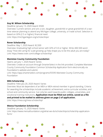

### **Guy M. Wilson Scholarship**

Deadline: January 13, 2020 Award: \$500 Overview: Current seniors and are a son, daughter, grandchild or great-grandchild of a wartime veteran planning to attend any Michigan college, university, or trade school. Selection is based on GPA (2.5 or higher), financial need. Link: https://michiganlegion.org/scholarships/

### **Rover Scholarship**

Deadline: May 1, 2020 Award: \$2,500 Overview: Graduating high school senior with GPA of 3.0 or higher. Write 400-500 word essay "How did caring for a pet growing up help shape you to be the adult you are today? Link: https://www.rover.com/college-scholarship/

### **Manistee County Community Foundation**

Opens: January 1, 2020 Award: Varies Overview: Create an account through SmarterSelect in the link provided. Complete Manistee County Community Foundation Common Scholarship Application form electronically via Foundation's website and submit. Link: https://app.smarterselect.com/programs/55595-Manistee-County-Community-Foundation

### **MEA Scholarship**

Deadline: February 20, 2020 Award: Varies

Overview: Must be dependent of an MEA or MEA-retired member in good standing. Criteria for awarding the scholarships include academic achievement, extra-curricular activities, and school and community service. Can only be used towards public colleges, universities, and vocational training institutions. **Application must be filled out online, saved as a file and printed to be mailed to address given on page 2 of application.**

Link: https://mea.org/mea-scholarship/

### **Mesna Foundation Scholarship**

Deadline: January 15, 2020 Award: Varies Link: https://www.mensafoundation.org/what-we-do/scholarships/scholarship-applicationform/